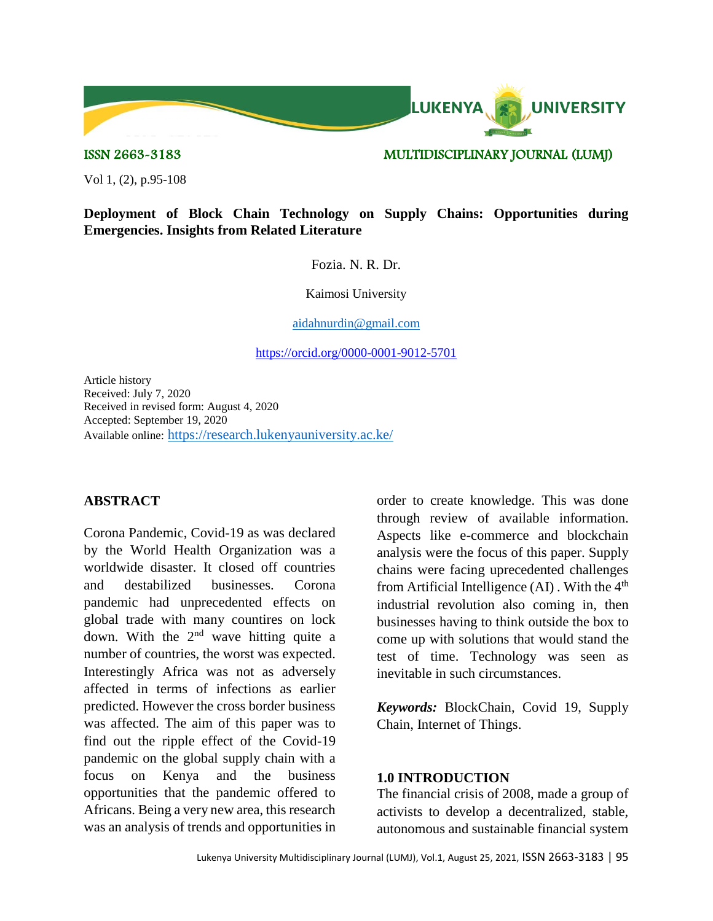

#### ISSN 2663-3183 MULTIDISCIPLINARY JOURNAL (LUMJ)

Vol 1, (2), p.95-108

# **Deployment of Block Chain Technology on Supply Chains: Opportunities during Emergencies. Insights from Related Literature**

Fozia. N. R. Dr.

Kaimosi University

[aidahnurdin@gmail.com](mailto:aidahnurdin@gmail.com)

<https://orcid.org/0000-0001-9012-5701>

Article history Received: July 7, 2020 Received in revised form: August 4, 2020 Accepted: September 19, 2020 Available online: <https://research.lukenyauniversity.ac.ke/>

#### **ABSTRACT**

Corona Pandemic, Covid-19 as was declared by the World Health Organization was a worldwide disaster. It closed off countries and destabilized businesses. Corona pandemic had unprecedented effects on global trade with many countires on lock down. With the  $2<sup>nd</sup>$  wave hitting quite a number of countries, the worst was expected. Interestingly Africa was not as adversely affected in terms of infections as earlier predicted. However the cross border business was affected. The aim of this paper was to find out the ripple effect of the Covid-19 pandemic on the global supply chain with a focus on Kenya and the business opportunities that the pandemic offered to Africans. Being a very new area, this research was an analysis of trends and opportunities in

order to create knowledge. This was done through review of available information. Aspects like e-commerce and blockchain analysis were the focus of this paper. Supply chains were facing uprecedented challenges from Artificial Intelligence  $(AI)$ . With the  $4<sup>th</sup>$ industrial revolution also coming in, then businesses having to think outside the box to come up with solutions that would stand the test of time. Technology was seen as inevitable in such circumstances.

*Keywords:* BlockChain, Covid 19, Supply Chain, Internet of Things.

#### **1.0 INTRODUCTION**

The financial crisis of 2008, made a group of activists to develop a decentralized, stable, autonomous and sustainable financial system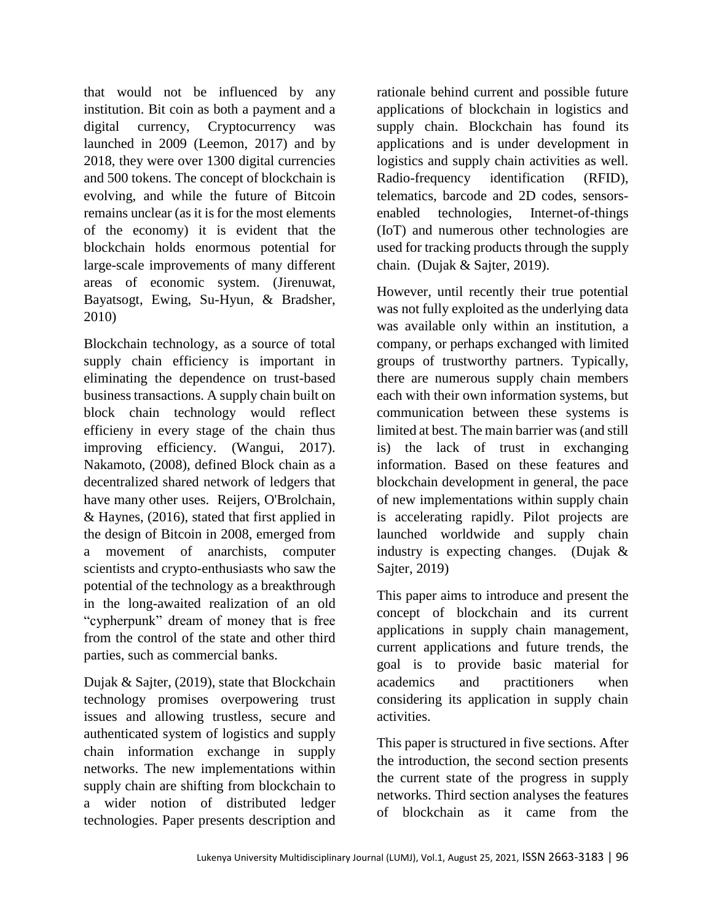that would not be influenced by any institution. Bit coin as both a payment and a digital currency, Cryptocurrency was launched in 2009 (Leemon, 2017) and by 2018, they were over 1300 digital currencies and 500 tokens. The concept of blockchain is evolving, and while the future of Bitcoin remains unclear (as it is for the most elements of the economy) it is evident that the blockchain holds enormous potential for large-scale improvements of many different areas of economic system. (Jirenuwat, Bayatsogt, Ewing, Su-Hyun, & Bradsher, 2010)

Blockchain technology, as a source of total supply chain efficiency is important in eliminating the dependence on trust-based business transactions. A supply chain built on block chain technology would reflect efficieny in every stage of the chain thus improving efficiency. (Wangui, 2017). Nakamoto, (2008), defined Block chain as a decentralized shared network of ledgers that have many other uses. Reijers, O'Brolchain, & Haynes, (2016), stated that first applied in the design of Bitcoin in 2008, emerged from a movement of anarchists, computer scientists and crypto-enthusiasts who saw the potential of the technology as a breakthrough in the long-awaited realization of an old "cypherpunk" dream of money that is free from the control of the state and other third parties, such as commercial banks.

Dujak & Sajter, (2019), state that Blockchain technology promises overpowering trust issues and allowing trustless, secure and authenticated system of logistics and supply chain information exchange in supply networks. The new implementations within supply chain are shifting from blockchain to a wider notion of distributed ledger technologies. Paper presents description and

rationale behind current and possible future applications of blockchain in logistics and supply chain. Blockchain has found its applications and is under development in logistics and supply chain activities as well. Radio-frequency identification (RFID), telematics, barcode and 2D codes, sensorsenabled technologies, Internet-of-things (IoT) and numerous other technologies are used for tracking products through the supply chain. (Dujak & Sajter, 2019).

However, until recently their true potential was not fully exploited as the underlying data was available only within an institution, a company, or perhaps exchanged with limited groups of trustworthy partners. Typically, there are numerous supply chain members each with their own information systems, but communication between these systems is limited at best. The main barrier was (and still is) the lack of trust in exchanging information. Based on these features and blockchain development in general, the pace of new implementations within supply chain is accelerating rapidly. Pilot projects are launched worldwide and supply chain industry is expecting changes. (Dujak & Sajter, 2019)

This paper aims to introduce and present the concept of blockchain and its current applications in supply chain management, current applications and future trends, the goal is to provide basic material for academics and practitioners when considering its application in supply chain activities.

This paper is structured in five sections. After the introduction, the second section presents the current state of the progress in supply networks. Third section analyses the features of blockchain as it came from the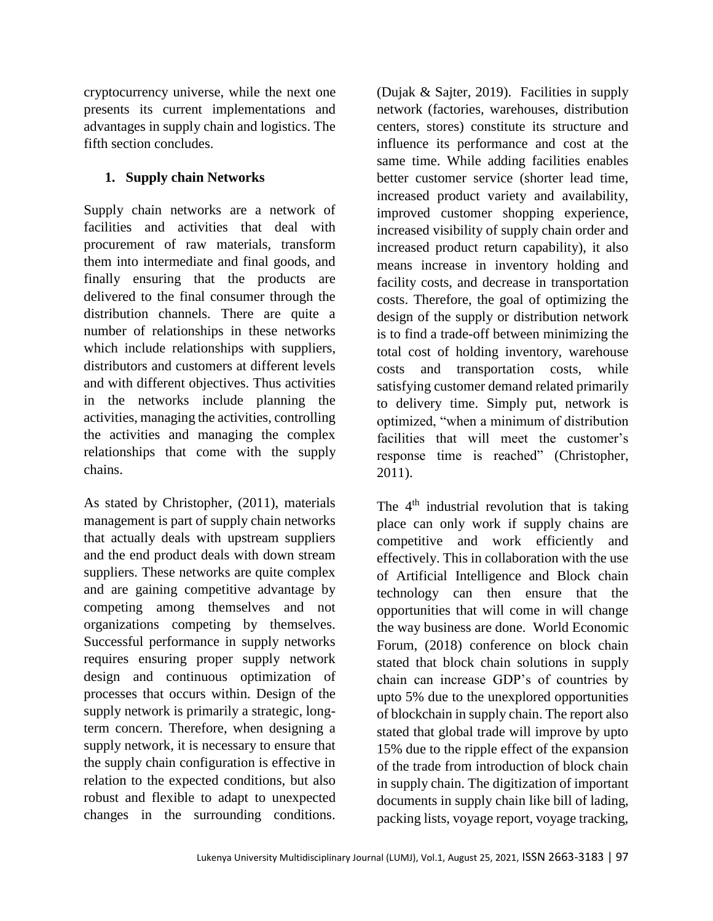cryptocurrency universe, while the next one presents its current implementations and advantages in supply chain and logistics. The fifth section concludes.

# **1. Supply chain Networks**

Supply chain networks are a network of facilities and activities that deal with procurement of raw materials, transform them into intermediate and final goods, and finally ensuring that the products are delivered to the final consumer through the distribution channels. There are quite a number of relationships in these networks which include relationships with suppliers, distributors and customers at different levels and with different objectives. Thus activities in the networks include planning the activities, managing the activities, controlling the activities and managing the complex relationships that come with the supply chains.

As stated by Christopher, (2011), materials management is part of supply chain networks that actually deals with upstream suppliers and the end product deals with down stream suppliers. These networks are quite complex and are gaining competitive advantage by competing among themselves and not organizations competing by themselves. Successful performance in supply networks requires ensuring proper supply network design and continuous optimization of processes that occurs within. Design of the supply network is primarily a strategic, longterm concern. Therefore, when designing a supply network, it is necessary to ensure that the supply chain configuration is effective in relation to the expected conditions, but also robust and flexible to adapt to unexpected changes in the surrounding conditions.

(Dujak & Sajter, 2019). Facilities in supply network (factories, warehouses, distribution centers, stores) constitute its structure and influence its performance and cost at the same time. While adding facilities enables better customer service (shorter lead time, increased product variety and availability, improved customer shopping experience, increased visibility of supply chain order and increased product return capability), it also means increase in inventory holding and facility costs, and decrease in transportation costs. Therefore, the goal of optimizing the design of the supply or distribution network is to find a trade-off between minimizing the total cost of holding inventory, warehouse costs and transportation costs, while satisfying customer demand related primarily to delivery time. Simply put, network is optimized, "when a minimum of distribution facilities that will meet the customer's response time is reached" (Christopher, 2011).

The  $4<sup>th</sup>$  industrial revolution that is taking place can only work if supply chains are competitive and work efficiently and effectively. This in collaboration with the use of Artificial Intelligence and Block chain technology can then ensure that the opportunities that will come in will change the way business are done. World Economic Forum, (2018) conference on block chain stated that block chain solutions in supply chain can increase GDP's of countries by upto 5% due to the unexplored opportunities of blockchain in supply chain. The report also stated that global trade will improve by upto 15% due to the ripple effect of the expansion of the trade from introduction of block chain in supply chain. The digitization of important documents in supply chain like bill of lading, packing lists, voyage report, voyage tracking,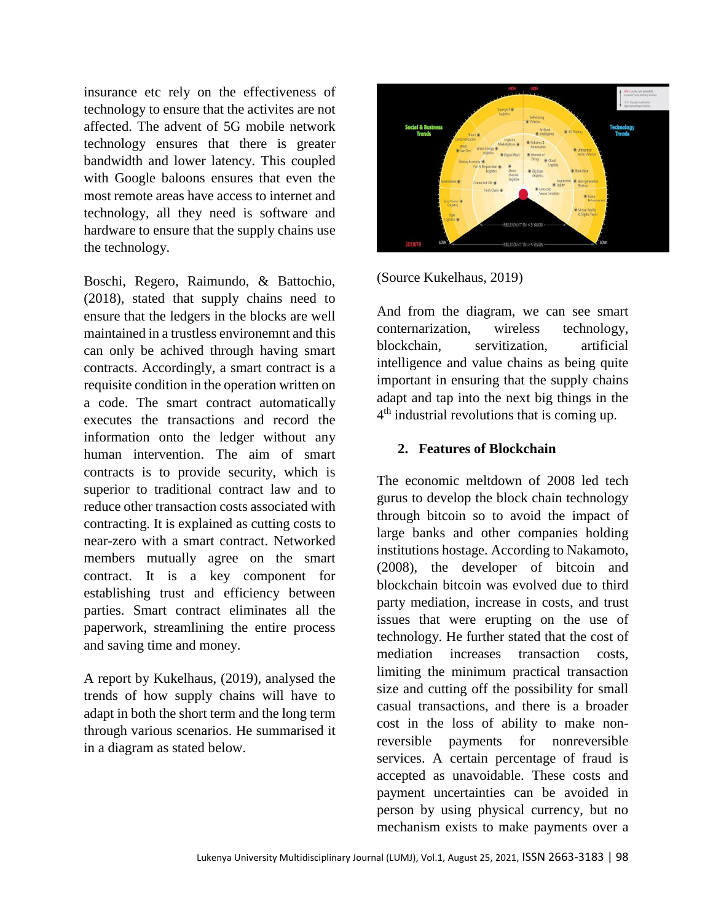insurance etc rely on the effectiveness of technology to ensure that the activites are not affected. The advent of 5G mobile network technology ensures that there is greater bandwidth and lower latency. This coupled with Google baloons ensures that even the most remote areas have access to internet and technology, all they need is software and hardware to ensure that the supply chains use the technology.

Boschi, Regero, Raimundo, & Battochio, (2018), stated that supply chains need to ensure that the ledgers in the blocks are well maintained in a trustless environemnt and this can only be achived through having smart contracts. Accordingly, a smart contract is a requisite condition in the operation written on a code. The smart contract automatically executes the transactions and record the information onto the ledger without any human intervention. The aim of smart contracts is to provide security, which is superior to traditional contract law and to reduce other transaction costs associated with contracting. It is explained as cutting costs to near-zero with a smart contract. Networked members mutually agree on the smart contract. It is a key component for establishing trust and efficiency between parties. Smart contract eliminates all the paperwork, streamlining the entire process and saving time and money.

A report by Kukelhaus, (2019), analysed the trends of how supply chains will have to adapt in both the short term and the long term through various scenarios. He summarised it in a diagram as stated below.



(Source Kukelhaus, 2019)

And from the diagram, we can see smart conternarization, wireless technology, blockchain, servitization, artificial intelligence and value chains as being quite important in ensuring that the supply chains adapt and tap into the next big things in the 4<sup>th</sup> industrial revolutions that is coming up.

#### **2. Features of Blockchain**

The economic meltdown of 2008 led tech gurus to develop the block chain technology through bitcoin so to avoid the impact of large banks and other companies holding institutions hostage. According to Nakamoto, (2008), the developer of bitcoin and blockchain bitcoin was evolved due to third party mediation, increase in costs, and trust issues that were erupting on the use of technology. He further stated that the cost of mediation increases transaction costs, limiting the minimum practical transaction size and cutting off the possibility for small casual transactions, and there is a broader cost in the loss of ability to make nonreversible payments for nonreversible services. A certain percentage of fraud is accepted as unavoidable. These costs and payment uncertainties can be avoided in person by using physical currency, but no mechanism exists to make payments over a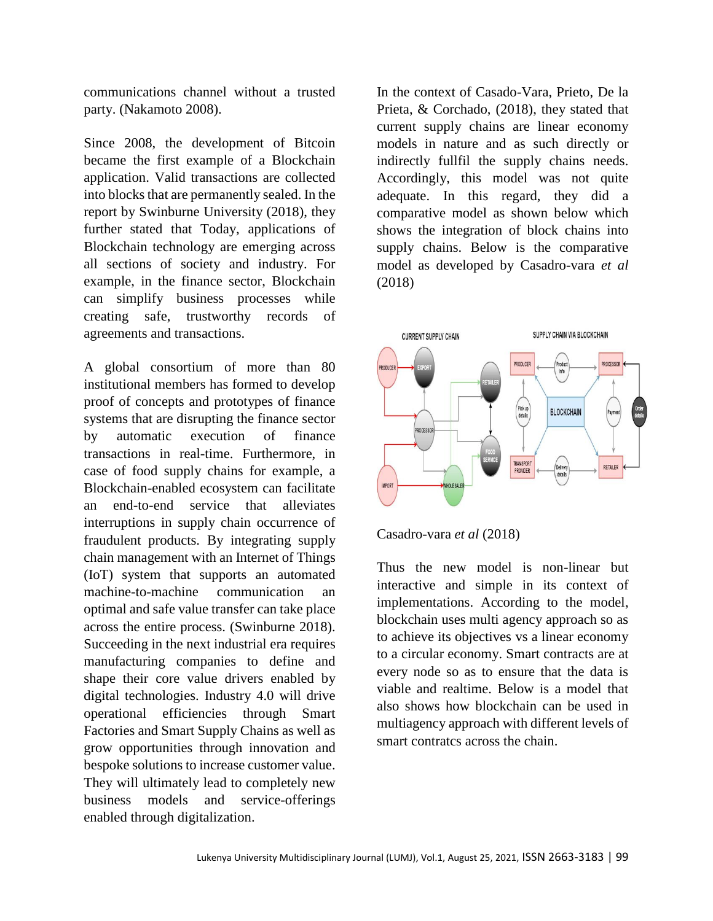communications channel without a trusted party. (Nakamoto 2008).

Since 2008, the development of Bitcoin became the first example of a Blockchain application. Valid transactions are collected into blocks that are permanently sealed. In the report by Swinburne University (2018), they further stated that Today, applications of Blockchain technology are emerging across all sections of society and industry. For example, in the finance sector, Blockchain can simplify business processes while creating safe, trustworthy records of agreements and transactions.

A global consortium of more than 80 institutional members has formed to develop proof of concepts and prototypes of finance systems that are disrupting the finance sector by automatic execution of finance transactions in real-time. Furthermore, in case of food supply chains for example, a Blockchain-enabled ecosystem can facilitate an end-to-end service that alleviates interruptions in supply chain occurrence of fraudulent products. By integrating supply chain management with an Internet of Things (IoT) system that supports an automated machine-to-machine communication an optimal and safe value transfer can take place across the entire process. (Swinburne 2018). Succeeding in the next industrial era requires manufacturing companies to define and shape their core value drivers enabled by digital technologies. Industry 4.0 will drive operational efficiencies through Smart Factories and Smart Supply Chains as well as grow opportunities through innovation and bespoke solutions to increase customer value. They will ultimately lead to completely new business models and service-offerings enabled through digitalization.

In the context of Casado-Vara, Prieto, De la Prieta, & Corchado, (2018), they stated that current supply chains are linear economy models in nature and as such directly or indirectly fullfil the supply chains needs. Accordingly, this model was not quite adequate. In this regard, they did a comparative model as shown below which shows the integration of block chains into supply chains. Below is the comparative model as developed by Casadro-vara *et al* (2018)



Casadro-vara *et al* (2018)

Thus the new model is non-linear but interactive and simple in its context of implementations. According to the model, blockchain uses multi agency approach so as to achieve its objectives vs a linear economy to a circular economy. Smart contracts are at every node so as to ensure that the data is viable and realtime. Below is a model that also shows how blockchain can be used in multiagency approach with different levels of smart contratcs across the chain.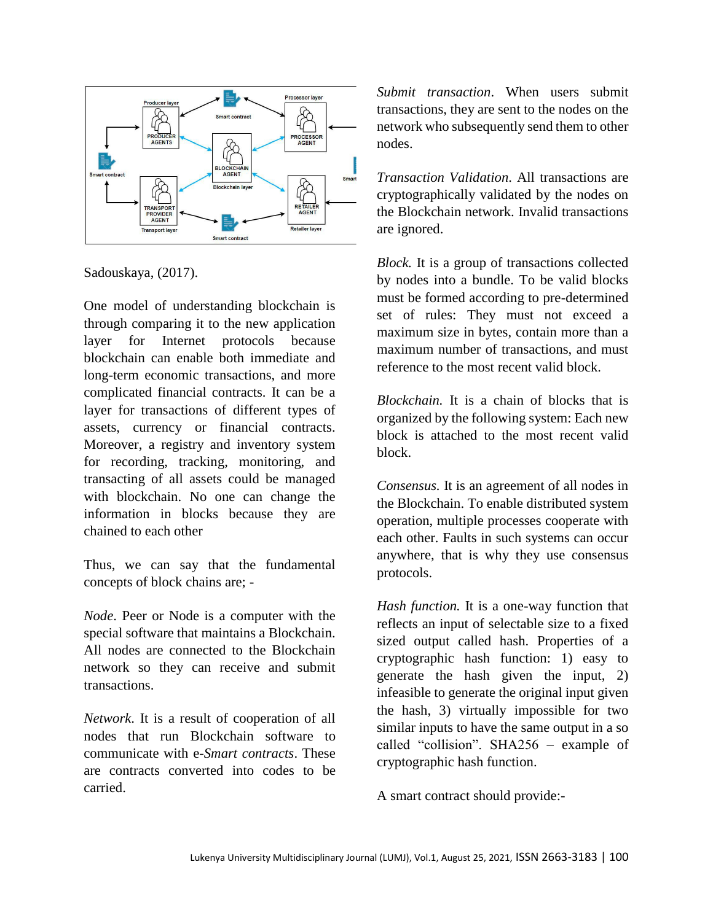

Sadouskaya, (2017).

One model of understanding blockchain is through comparing it to the new application layer for Internet protocols because blockchain can enable both immediate and long-term economic transactions, and more complicated financial contracts. It can be a layer for transactions of different types of assets, currency or financial contracts. Moreover, a registry and inventory system for recording, tracking, monitoring, and transacting of all assets could be managed with blockchain. No one can change the information in blocks because they are chained to each other

Thus, we can say that the fundamental concepts of block chains are; -

*Node*. Peer or Node is a computer with the special software that maintains a Blockchain. All nodes are connected to the Blockchain network so they can receive and submit transactions.

*Network*. It is a result of cooperation of all nodes that run Blockchain software to communicate with e-*Smart contracts*. These are contracts converted into codes to be carried.

*Submit transaction*. When users submit transactions, they are sent to the nodes on the network who subsequently send them to other nodes.

*Transaction Validation*. All transactions are cryptographically validated by the nodes on the Blockchain network. Invalid transactions are ignored.

*Block.* It is a group of transactions collected by nodes into a bundle. To be valid blocks must be formed according to pre-determined set of rules: They must not exceed a maximum size in bytes, contain more than a maximum number of transactions, and must reference to the most recent valid block.

*Blockchain.* It is a chain of blocks that is organized by the following system: Each new block is attached to the most recent valid block.

*Consensus.* It is an agreement of all nodes in the Blockchain. To enable distributed system operation, multiple processes cooperate with each other. Faults in such systems can occur anywhere, that is why they use consensus protocols.

*Hash function.* It is a one-way function that reflects an input of selectable size to a fixed sized output called hash. Properties of a cryptographic hash function: 1) easy to generate the hash given the input, 2) infeasible to generate the original input given the hash, 3) virtually impossible for two similar inputs to have the same output in a so called "collision". SHA256 – example of cryptographic hash function.

A smart contract should provide:-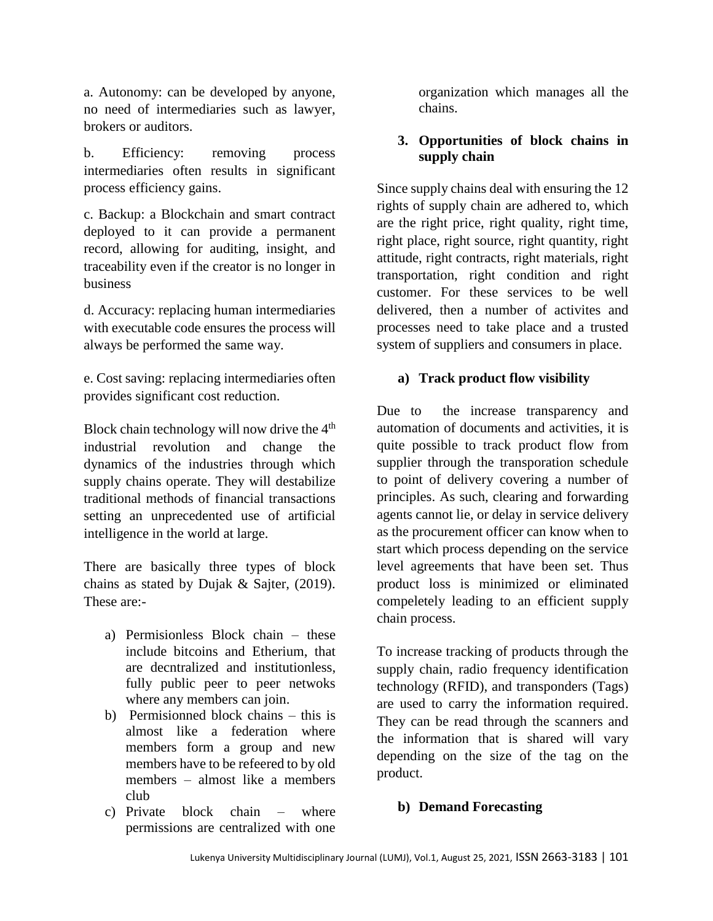a. Autonomy: can be developed by anyone, no need of intermediaries such as lawyer, brokers or auditors.

b. Efficiency: removing process intermediaries often results in significant process efficiency gains.

c. Backup: a Blockchain and smart contract deployed to it can provide a permanent record, allowing for auditing, insight, and traceability even if the creator is no longer in business

d. Accuracy: replacing human intermediaries with executable code ensures the process will always be performed the same way.

e. Cost saving: replacing intermediaries often provides significant cost reduction.

Block chain technology will now drive the  $4<sup>th</sup>$ industrial revolution and change the dynamics of the industries through which supply chains operate. They will destabilize traditional methods of financial transactions setting an unprecedented use of artificial intelligence in the world at large.

There are basically three types of block chains as stated by Dujak & Sajter, (2019). These are:-

- a) Permisionless Block chain these include bitcoins and Etherium, that are decntralized and institutionless, fully public peer to peer netwoks where any members can join.
- b) Permisionned block chains this is almost like a federation where members form a group and new members have to be refeered to by old members – almost like a members club
- c) Private block chain where permissions are centralized with one

organization which manages all the chains.

# **3. Opportunities of block chains in supply chain**

Since supply chains deal with ensuring the 12 rights of supply chain are adhered to, which are the right price, right quality, right time, right place, right source, right quantity, right attitude, right contracts, right materials, right transportation, right condition and right customer. For these services to be well delivered, then a number of activites and processes need to take place and a trusted system of suppliers and consumers in place.

# **a) Track product flow visibility**

Due to the increase transparency and automation of documents and activities, it is quite possible to track product flow from supplier through the transporation schedule to point of delivery covering a number of principles. As such, clearing and forwarding agents cannot lie, or delay in service delivery as the procurement officer can know when to start which process depending on the service level agreements that have been set. Thus product loss is minimized or eliminated compeletely leading to an efficient supply chain process.

To increase tracking of products through the supply chain, radio frequency identification technology (RFID), and transponders (Tags) are used to carry the information required. They can be read through the scanners and the information that is shared will vary depending on the size of the tag on the product.

# **b) Demand Forecasting**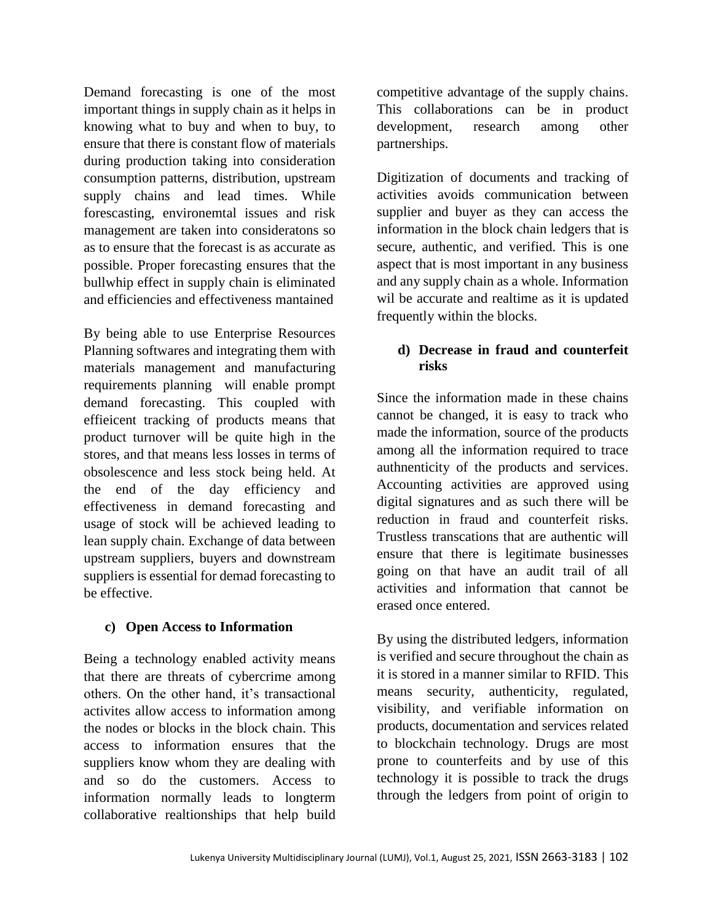Demand forecasting is one of the most important things in supply chain as it helps in knowing what to buy and when to buy, to ensure that there is constant flow of materials during production taking into consideration consumption patterns, distribution, upstream supply chains and lead times. While forescasting, environemtal issues and risk management are taken into consideratons so as to ensure that the forecast is as accurate as possible. Proper forecasting ensures that the bullwhip effect in supply chain is eliminated and efficiencies and effectiveness mantained

By being able to use Enterprise Resources Planning softwares and integrating them with materials management and manufacturing requirements planning will enable prompt demand forecasting. This coupled with effieicent tracking of products means that product turnover will be quite high in the stores, and that means less losses in terms of obsolescence and less stock being held. At the end of the day efficiency and effectiveness in demand forecasting and usage of stock will be achieved leading to lean supply chain. Exchange of data between upstream suppliers, buyers and downstream suppliers is essential for demad forecasting to be effective.

# **c) Open Access to Information**

Being a technology enabled activity means that there are threats of cybercrime among others. On the other hand, it's transactional activites allow access to information among the nodes or blocks in the block chain. This access to information ensures that the suppliers know whom they are dealing with and so do the customers. Access to information normally leads to longterm collaborative realtionships that help build

competitive advantage of the supply chains. This collaborations can be in product development, research among other partnerships.

Digitization of documents and tracking of activities avoids communication between supplier and buyer as they can access the information in the block chain ledgers that is secure, authentic, and verified. This is one aspect that is most important in any business and any supply chain as a whole. Information wil be accurate and realtime as it is updated frequently within the blocks.

# **d) Decrease in fraud and counterfeit risks**

Since the information made in these chains cannot be changed, it is easy to track who made the information, source of the products among all the information required to trace authnenticity of the products and services. Accounting activities are approved using digital signatures and as such there will be reduction in fraud and counterfeit risks. Trustless transcations that are authentic will ensure that there is legitimate businesses going on that have an audit trail of all activities and information that cannot be erased once entered.

By using the distributed ledgers, information is verified and secure throughout the chain as it is stored in a manner similar to RFID. This means security, authenticity, regulated, visibility, and verifiable information on products, documentation and services related to blockchain technology. Drugs are most prone to counterfeits and by use of this technology it is possible to track the drugs through the ledgers from point of origin to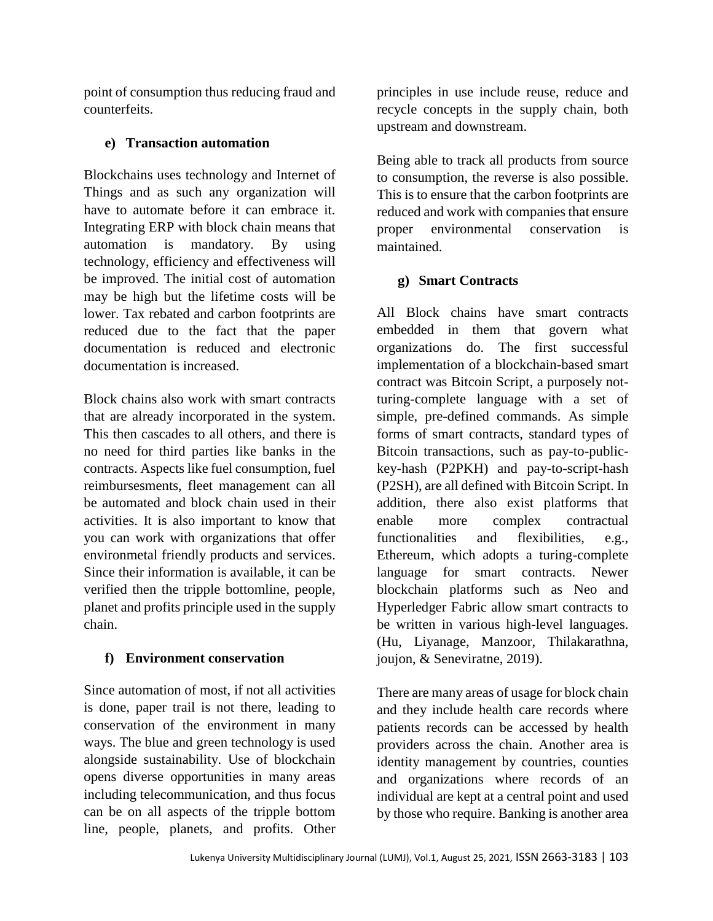point of consumption thus reducing fraud and counterfeits.

# **e) Transaction automation**

Blockchains uses technology and Internet of Things and as such any organization will have to automate before it can embrace it. Integrating ERP with block chain means that automation is mandatory. By using technology, efficiency and effectiveness will be improved. The initial cost of automation may be high but the lifetime costs will be lower. Tax rebated and carbon footprints are reduced due to the fact that the paper documentation is reduced and electronic documentation is increased.

Block chains also work with smart contracts that are already incorporated in the system. This then cascades to all others, and there is no need for third parties like banks in the contracts. Aspects like fuel consumption, fuel reimbursesments, fleet management can all be automated and block chain used in their activities. It is also important to know that you can work with organizations that offer environmetal friendly products and services. Since their information is available, it can be verified then the tripple bottomline, people, planet and profits principle used in the supply chain.

# **f) Environment conservation**

Since automation of most, if not all activities is done, paper trail is not there, leading to conservation of the environment in many ways. The blue and green technology is used alongside sustainability. Use of blockchain opens diverse opportunities in many areas including telecommunication, and thus focus can be on all aspects of the tripple bottom line, people, planets, and profits. Other

principles in use include reuse, reduce and recycle concepts in the supply chain, both upstream and downstream.

Being able to track all products from source to consumption, the reverse is also possible. This is to ensure that the carbon footprints are reduced and work with companies that ensure proper environmental conservation is maintained.

# **g) Smart Contracts**

All Block chains have smart contracts embedded in them that govern what organizations do. The first successful implementation of a blockchain-based smart contract was Bitcoin Script, a purposely notturing-complete language with a set of simple, pre-defined commands. As simple forms of smart contracts, standard types of Bitcoin transactions, such as pay-to-publickey-hash (P2PKH) and pay-to-script-hash (P2SH), are all defined with Bitcoin Script. In addition, there also exist platforms that enable more complex contractual functionalities and flexibilities, e.g., Ethereum, which adopts a turing-complete language for smart contracts. Newer blockchain platforms such as Neo and Hyperledger Fabric allow smart contracts to be written in various high-level languages. (Hu, Liyanage, Manzoor, Thilakarathna, joujon, & Seneviratne, 2019).

There are many areas of usage for block chain and they include health care records where patients records can be accessed by health providers across the chain. Another area is identity management by countries, counties and organizations where records of an individual are kept at a central point and used by those who require. Banking is another area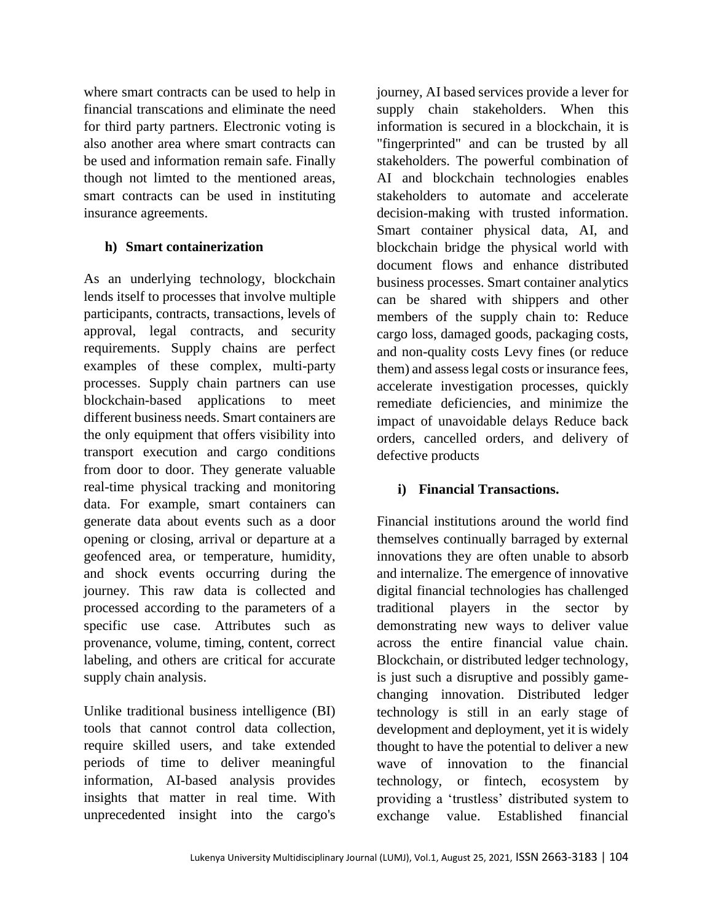where smart contracts can be used to help in financial transcations and eliminate the need for third party partners. Electronic voting is also another area where smart contracts can be used and information remain safe. Finally though not limted to the mentioned areas, smart contracts can be used in instituting insurance agreements.

# **h) Smart containerization**

As an underlying technology, blockchain lends itself to processes that involve multiple participants, contracts, transactions, levels of approval, legal contracts, and security requirements. Supply chains are perfect examples of these complex, multi-party processes. Supply chain partners can use blockchain-based applications to meet different business needs. Smart containers are the only equipment that offers visibility into transport execution and cargo conditions from door to door. They generate valuable real-time physical tracking and monitoring data. For example, smart containers can generate data about events such as a door opening or closing, arrival or departure at a geofenced area, or temperature, humidity, and shock events occurring during the journey. This raw data is collected and processed according to the parameters of a specific use case. Attributes such as provenance, volume, timing, content, correct labeling, and others are critical for accurate supply chain analysis.

Unlike traditional business intelligence (BI) tools that cannot control data collection, require skilled users, and take extended periods of time to deliver meaningful information, AI-based analysis provides insights that matter in real time. With unprecedented insight into the cargo's

journey, AI based services provide a lever for supply chain stakeholders. When this information is secured in a blockchain, it is "fingerprinted" and can be trusted by all stakeholders. The powerful combination of AI and blockchain technologies enables stakeholders to automate and accelerate decision-making with trusted information. Smart container physical data, AI, and blockchain bridge the physical world with document flows and enhance distributed business processes. Smart container analytics can be shared with shippers and other members of the supply chain to: Reduce cargo loss, damaged goods, packaging costs, and non-quality costs Levy fines (or reduce them) and assess legal costs or insurance fees, accelerate investigation processes, quickly remediate deficiencies, and minimize the impact of unavoidable delays Reduce back orders, cancelled orders, and delivery of defective products

# **i) Financial Transactions.**

Financial institutions around the world find themselves continually barraged by external innovations they are often unable to absorb and internalize. The emergence of innovative digital financial technologies has challenged traditional players in the sector by demonstrating new ways to deliver value across the entire financial value chain. Blockchain, or distributed ledger technology, is just such a disruptive and possibly gamechanging innovation. Distributed ledger technology is still in an early stage of development and deployment, yet it is widely thought to have the potential to deliver a new wave of innovation to the financial technology, or fintech, ecosystem by providing a 'trustless' distributed system to exchange value. Established financial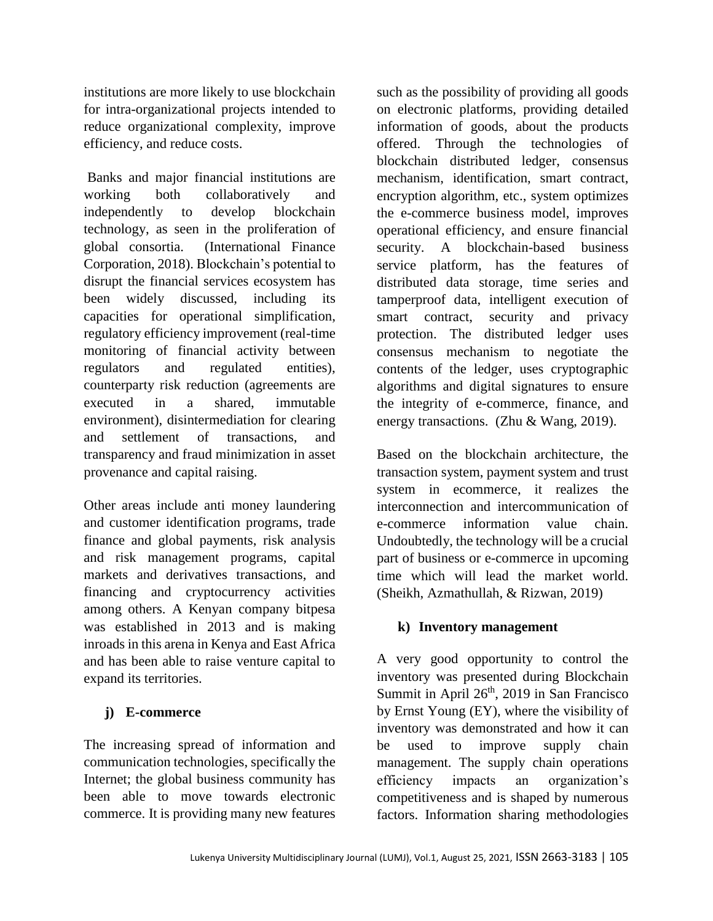institutions are more likely to use blockchain for intra-organizational projects intended to reduce organizational complexity, improve efficiency, and reduce costs.

Banks and major financial institutions are working both collaboratively and independently to develop blockchain technology, as seen in the proliferation of global consortia. (International Finance Corporation, 2018). Blockchain's potential to disrupt the financial services ecosystem has been widely discussed, including its capacities for operational simplification, regulatory efficiency improvement (real-time monitoring of financial activity between regulators and regulated entities), counterparty risk reduction (agreements are executed in a shared, immutable environment), disintermediation for clearing and settlement of transactions, and transparency and fraud minimization in asset provenance and capital raising.

Other areas include anti money laundering and customer identification programs, trade finance and global payments, risk analysis and risk management programs, capital markets and derivatives transactions, and financing and cryptocurrency activities among others. A Kenyan company bitpesa was established in 2013 and is making inroads in this arena in Kenya and East Africa and has been able to raise venture capital to expand its territories.

# **j) E-commerce**

The increasing spread of information and communication technologies, specifically the Internet; the global business community has been able to move towards electronic commerce. It is providing many new features

such as the possibility of providing all goods on electronic platforms, providing detailed information of goods, about the products offered. Through the technologies of blockchain distributed ledger, consensus mechanism, identification, smart contract, encryption algorithm, etc., system optimizes the e-commerce business model, improves operational efficiency, and ensure financial security. A blockchain-based business service platform, has the features of distributed data storage, time series and tamperproof data, intelligent execution of smart contract, security and privacy protection. The distributed ledger uses consensus mechanism to negotiate the contents of the ledger, uses cryptographic algorithms and digital signatures to ensure the integrity of e-commerce, finance, and energy transactions. (Zhu & Wang, 2019).

Based on the blockchain architecture, the transaction system, payment system and trust system in ecommerce, it realizes the interconnection and intercommunication of e-commerce information value chain. Undoubtedly, the technology will be a crucial part of business or e-commerce in upcoming time which will lead the market world. (Sheikh, Azmathullah, & Rizwan, 2019)

# **k) Inventory management**

A very good opportunity to control the inventory was presented during Blockchain Summit in April 26<sup>th</sup>, 2019 in San Francisco by Ernst Young (EY), where the visibility of inventory was demonstrated and how it can be used to improve supply chain management. The supply chain operations efficiency impacts an organization's competitiveness and is shaped by numerous factors. Information sharing methodologies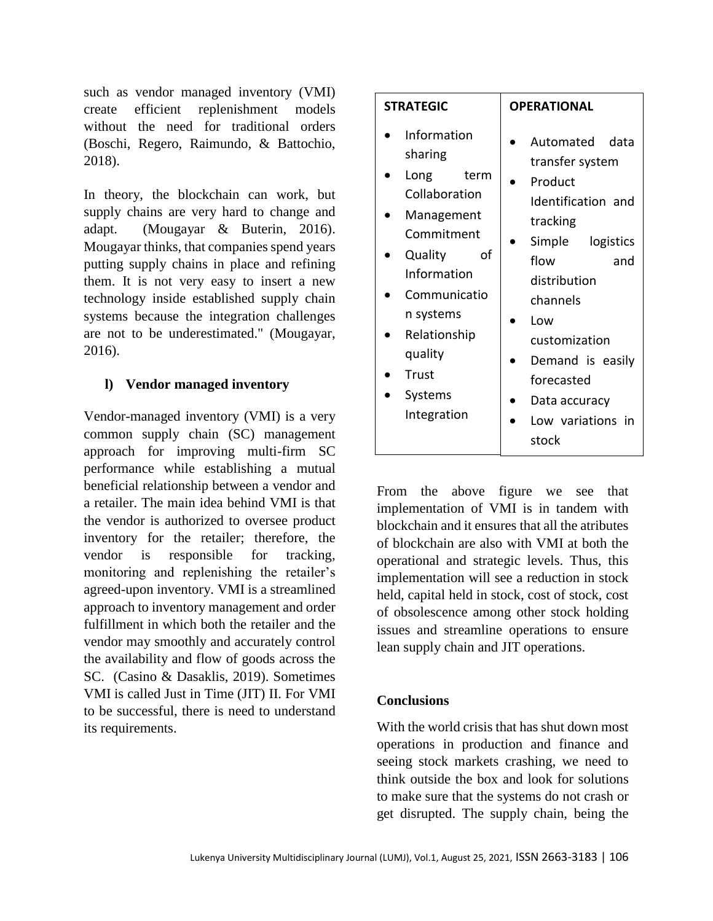such as vendor managed inventory (VMI) create efficient replenishment models without the need for traditional orders (Boschi, Regero, Raimundo, & Battochio, 2018).

In theory, the blockchain can work, but supply chains are very hard to change and adapt. (Mougayar & Buterin, 2016). Mougayar thinks, that companies spend years putting supply chains in place and refining them. It is not very easy to insert a new technology inside established supply chain systems because the integration challenges are not to be underestimated." (Mougayar, 2016).

# **l) Vendor managed inventory**

Vendor-managed inventory (VMI) is a very common supply chain (SC) management approach for improving multi-firm SC performance while establishing a mutual beneficial relationship between a vendor and a retailer. The main idea behind VMI is that the vendor is authorized to oversee product inventory for the retailer; therefore, the vendor is responsible for tracking, monitoring and replenishing the retailer's agreed-upon inventory. VMI is a streamlined approach to inventory management and order fulfillment in which both the retailer and the vendor may smoothly and accurately control the availability and flow of goods across the SC. (Casino & Dasaklis, 2019). Sometimes VMI is called Just in Time (JIT) II. For VMI to be successful, there is need to understand its requirements.

| <b>STRATEGIC</b>                                                                                                                                                                                                      | <b>OPERATIONAL</b>                                                                                                                                                                                                                                        |
|-----------------------------------------------------------------------------------------------------------------------------------------------------------------------------------------------------------------------|-----------------------------------------------------------------------------------------------------------------------------------------------------------------------------------------------------------------------------------------------------------|
| Information<br>sharing<br>Long<br>term<br>Collaboration<br>Management<br>Commitment<br>of<br><b>Quality</b><br>Information<br>Communicatio<br>n systems<br>Relationship<br>quality<br>Trust<br>Systems<br>Integration | Automated<br>data<br>transfer system<br>Product<br>Identification and<br>tracking<br>Simple logistics<br>flow<br>and<br>distribution<br>channels<br>Low<br>customization<br>Demand is easily<br>forecasted<br>Data accuracy<br>Low variations in<br>stock |

From the above figure we see that implementation of VMI is in tandem with blockchain and it ensures that all the atributes of blockchain are also with VMI at both the operational and strategic levels. Thus, this implementation will see a reduction in stock held, capital held in stock, cost of stock, cost of obsolescence among other stock holding issues and streamline operations to ensure lean supply chain and JIT operations.

# **Conclusions**

With the world crisis that has shut down most operations in production and finance and seeing stock markets crashing, we need to think outside the box and look for solutions to make sure that the systems do not crash or get disrupted. The supply chain, being the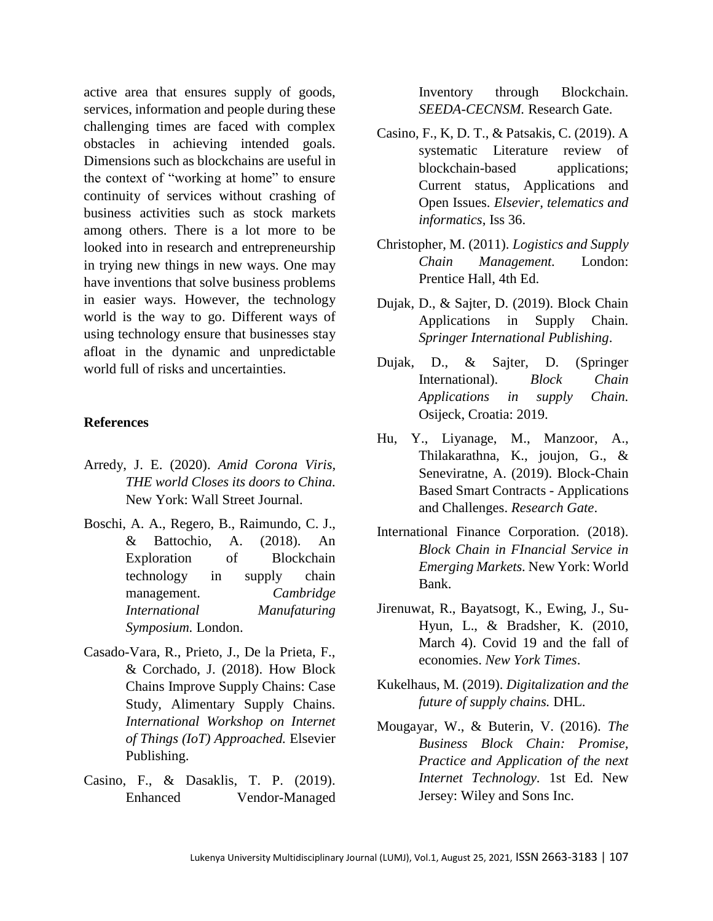active area that ensures supply of goods, services, information and people during these challenging times are faced with complex obstacles in achieving intended goals. Dimensions such as blockchains are useful in the context of "working at home" to ensure continuity of services without crashing of business activities such as stock markets among others. There is a lot more to be looked into in research and entrepreneurship in trying new things in new ways. One may have inventions that solve business problems in easier ways. However, the technology world is the way to go. Different ways of using technology ensure that businesses stay afloat in the dynamic and unpredictable world full of risks and uncertainties.

#### **References**

- Arredy, J. E. (2020). *Amid Corona Viris, THE world Closes its doors to China.* New York: Wall Street Journal.
- Boschi, A. A., Regero, B., Raimundo, C. J., & Battochio, A. (2018). An Exploration of Blockchain technology in supply chain management. *Cambridge International Manufaturing Symposium.* London.
- Casado-Vara, R., Prieto, J., De la Prieta, F., & Corchado, J. (2018). How Block Chains Improve Supply Chains: Case Study, Alimentary Supply Chains. *International Workshop on Internet of Things (IoT) Approached.* Elsevier Publishing.
- Casino, F., & Dasaklis, T. P. (2019). Enhanced Vendor-Managed

Inventory through Blockchain. *SEEDA-CECNSM.* Research Gate.

- Casino, F., K, D. T., & Patsakis, C. (2019). A systematic Literature review of blockchain-based applications; Current status, Applications and Open Issues. *Elsevier, telematics and informatics*, Iss 36.
- Christopher, M. (2011). *Logistics and Supply Chain Management.* London: Prentice Hall, 4th Ed.
- Dujak, D., & Sajter, D. (2019). Block Chain Applications in Supply Chain. *Springer International Publishing*.
- Dujak, D., & Sajter, D. (Springer International). *Block Chain Applications in supply Chain.* Osijeck, Croatia: 2019.
- Hu, Y., Liyanage, M., Manzoor, A., Thilakarathna, K., joujon, G., & Seneviratne, A. (2019). Block-Chain Based Smart Contracts - Applications and Challenges. *Research Gate*.
- International Finance Corporation. (2018). *Block Chain in FInancial Service in Emerging Markets.* New York: World Bank.
- Jirenuwat, R., Bayatsogt, K., Ewing, J., Su-Hyun, L., & Bradsher, K. (2010, March 4). Covid 19 and the fall of economies. *New York Times*.
- Kukelhaus, M. (2019). *Digitalization and the future of supply chains.* DHL.
- Mougayar, W., & Buterin, V. (2016). *The Business Block Chain: Promise, Practice and Application of the next Internet Technology.* 1st Ed. New Jersey: Wiley and Sons Inc.